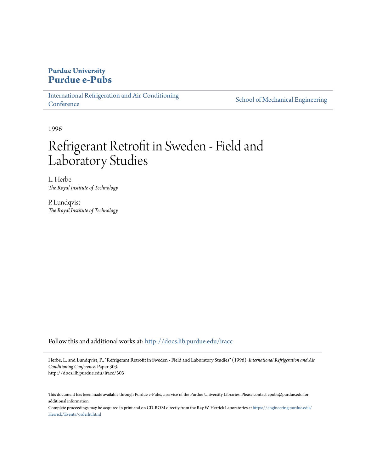# **Purdue University [Purdue e-Pubs](http://docs.lib.purdue.edu?utm_source=docs.lib.purdue.edu%2Firacc%2F303&utm_medium=PDF&utm_campaign=PDFCoverPages)**

[International Refrigeration and Air Conditioning](http://docs.lib.purdue.edu/iracc?utm_source=docs.lib.purdue.edu%2Firacc%2F303&utm_medium=PDF&utm_campaign=PDFCoverPages) **[Conference](http://docs.lib.purdue.edu/iracc?utm_source=docs.lib.purdue.edu%2Firacc%2F303&utm_medium=PDF&utm_campaign=PDFCoverPages)** 

[School of Mechanical Engineering](http://docs.lib.purdue.edu/me?utm_source=docs.lib.purdue.edu%2Firacc%2F303&utm_medium=PDF&utm_campaign=PDFCoverPages)

1996

# Refrigerant Retrofit in Sweden - Field and Laboratory Studies

L. Herbe *The Royal Institute of Technology*

P. Lundqvist *The Royal Institute of Technology*

Follow this and additional works at: [http://docs.lib.purdue.edu/iracc](http://docs.lib.purdue.edu/iracc?utm_source=docs.lib.purdue.edu%2Firacc%2F303&utm_medium=PDF&utm_campaign=PDFCoverPages)

Herbe, L. and Lundqvist, P., "Refrigerant Retrofit in Sweden - Field and Laboratory Studies" (1996). *International Refrigeration and Air Conditioning Conference.* Paper 303. http://docs.lib.purdue.edu/iracc/303

This document has been made available through Purdue e-Pubs, a service of the Purdue University Libraries. Please contact epubs@purdue.edu for additional information.

Complete proceedings may be acquired in print and on CD-ROM directly from the Ray W. Herrick Laboratories at [https://engineering.purdue.edu/](https://engineering.purdue.edu/Herrick/Events/orderlit.html) [Herrick/Events/orderlit.html](https://engineering.purdue.edu/Herrick/Events/orderlit.html)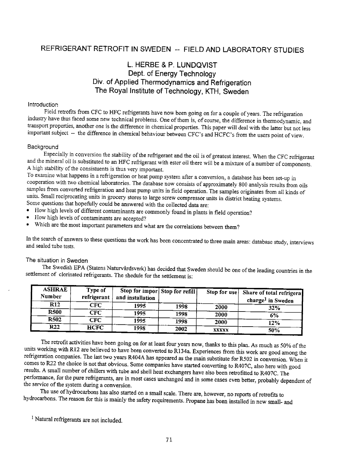# REFRIGERANT RETROFIT IN SWEDEN -- FIELD AND LABORATORY STUDIES

# L. HERBE & P. LUNDQVIST Dept. of Energy Technology Div. of Applied Thermodynamics and Refrigeration The Royal Institute of Technology, KTH, Sweden

# Introduction

Field retrofits from CFC to HFC refrigerants have now been going on for a couple of years. The refrigeration industry have thus faced some new technical problems. One of them is, of course, the difference in thermodynamic, and transport properties, another one is the difference in chemical properties. This paper will deal with the latter but not less important subject -- the difference in chemical behaviour between CFC's and HCFC's from the users point of view.

# Background

Especially in conversion the stability of the refrigerant and the oil is of greatest interest. When the CFC refrigerant and the mineral oil is substituted to an HFC refrigerant with ester oil there will be a mixture of a number of components. A high stability of the consistuents is thus very important.

To examine what happens in a refrigeration or heat pump system after a conversion, a database has been set-up in cooperation with two chemical laboratories. The database now consists of approximately 800 analysis results from oils samples from converted refrigeration and heat pump units in field operation. The samples originates from all kinds of units. Small reciprocating units in grocery stores to large screw compressor units in district heating systems. Some questions that hopefully could be answered with the collected data are:<br>• How high levels of different contaminants are commonly found in plate in

- How high levels of different contaminants are commonly found in plants in field operation?<br>• How high levels of contaminants are assessed?
- How high levels of contaminants are accepted?<br>• Which are the most important parameters and y
- Which are the most important parameters and what are the correlations between them?

In the search of answers to these questions the work has been concentrated to three main areas: database study, interviews and sealed tube tests.

# The situation in Sweden

The Swedish EPA (Statens Naturvårdsverk) has decided that Sweden should be one of the leading countries in the settlement of clorinated refrigerants. The shedule for the settlement is:

| <b>ASHRAE</b><br>Number | Type of<br>refrigerant | Stop for impor Stop for refill<br>and installation |      | Stop for use | Share of total refrigera<br>charge <sup>1</sup> in Sweden |
|-------------------------|------------------------|----------------------------------------------------|------|--------------|-----------------------------------------------------------|
| <b>R12</b>              | ${\bf CFC}$            | 1995                                               | 1998 | 2000         | 32%                                                       |
| <b>R500</b>             | ${\rm CFC}$            | 1995                                               | 1998 | 2000         | 6%                                                        |
| <b>R502</b>             | CFC                    | 1995                                               | 1998 | 2000         | 12%                                                       |
| <b>R22</b>              | <b>HCFC</b>            | 1998                                               | 2002 | <b>XXXXX</b> | 50%                                                       |

The retrofit activities have been going on for at least four years now, thanks to this plan. As much as 50% of the units working with R12 are believed to have been converted to R134a. Experiences from this work are good among the refrigeration companies. The last two years R404A has appeared as the main substitute for R502 in conversion. When it comes to R22 the choice is not that obvious. Some companies have started converting to R407C, also here with good results. A small number of chillers with tube and shell heat exchangers have also been retrofitted to R407C. The performance, for the pure refrigerants, are in most cases unchanged and in some cases even better, probably dependent of the service of the system during a conversion.

The use of hydrocarbons has also started on a small scale. There are, however, no reports of retrofits to hydrocarbons. The reason for this is mainly the safety requirements. Propane has been installed in new small- and

<sup>1</sup> Natural refrigerants are not included.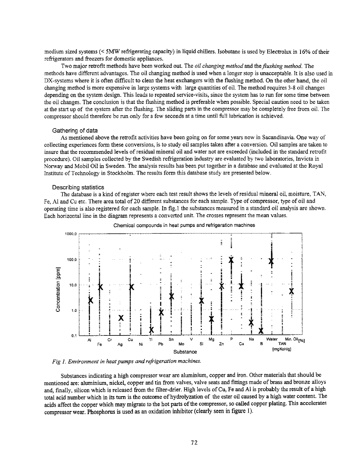medium sized systems(< 5MW refrigerating capacity) in liquid chillers. Isobutane is used by Electrolux in 16% of their refrigerators and freezers for domestic appliances.

Two major retrofit methods have been worked out. The *oil changing method* and the *flushing method.* The methods have different advantages. The oil changing method is used when a longer stop is unacceptable. It is also used in DX-systems where it is often difficult to clean the heat exchangers with the flushing method. On the other hand, the oil changing method is more expensive in large systems with large quantities of oil. The method requires 3-8 oil changes depending on the system design. This leads to repeated service-visits, since the system has to run for some time between the oil changes. The conclusion is that the flushing method is preferable when possible. Special caution need to be taken at the start up of the system after the flushing. The sliding parts in the compressor may be completely free from oil. The compressor should therefore be run only for a few seconds at a time until full lubrication is achieved.

#### Gathering of data

As mentioned above the retrofit activities have been going on for some years now in Sacandinavia. One way of collecting experiences form these conversions, is to study oil samples taken after a conversion. Oil samples are taken to insure that the recommended levels of residual mineral oil and water not are exceeded (included in the standard retrofit procedure). Oil samples collected by the Swedish refrigeration industry are evaluated by two laboratories, lnvicta in Norway and Mobil Oil in Sweden. The analysis results has been put together in a database and evaluated at the Royal Institute of Technology in Stockholm. The results form this database study are presented below.

#### Describing statistics

The database is a kind of register where each test result shows the levels of residual mineral oil, moisture, TAN, Fe, AI and Cu etc. There area total of 20 different substances for each sample. Type of compressor, type of oil and operating time is also registered for each sample. In fig.1 the substances measured in a standard oil analysis are shown. Each horizontal line in the diagram represents a converted unit. The crosses represent the mean values.



Chemical compounds in heat pumps and refrigeration machines



Substances indicating a high compressor wear are aluminium, copper and iron. Other materials that should be mentioned are: aluminium, nickel, copper and tin from valves, valve seats and fittings made of brass and bronze alloys and, fmally, silicon which is released from the filter-drier. High levels of Cu, Fe and AI is probably the result of a high total acid number which in its turn is the outcome of hydrolyzation of the ester oil caused by a high water content. The acids affect the copper which may migrate to the hot parts of the compressor, so called copper plating. This accelerates compressor wear. Phosphorus is used as an oxidation inhibitor (clearly seen in figure 1).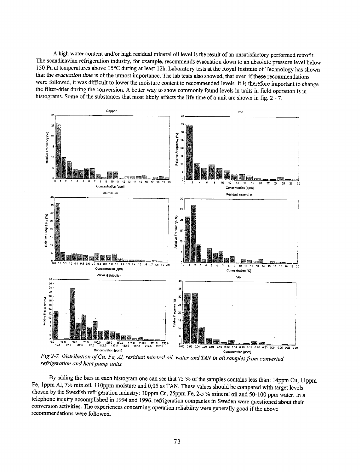A high water content and/or high residual mineral oil level is the result of an unsatisfactory performed retrofit. The scandinavian refrigeration industry, for example, recommends evacuation down to an absolute pressure level below 150 Pa at temperatures above 15°C during at least 12h. Laboratory tests at the Royal Institute of Technology has shown that the evacuation time is of the utmost importance. The lab tests also showed, that even if these recommendations were followed, it was difficult to lower the moisture content to recommended levels. It is therefore important to change the filter-drier during the conversion. A better way to show commonly found levels in units in field operation is in histograms. Some of the substances that most likely affects the life time of a unit are shown in fig. 2 - 7.



Fig 2-7. Distribution of Cu, Fe, Al, residual mineral oil, water and TAN in oil samples from converted refrigeration and heat pump units.

By adding the bars in each histogram one can see that 75 % of the samples contains less than: 14ppm Cu, 11ppm Fe, 1ppm Al, 7% min.oil, 110ppm moisture and 0,05 as TAN. These values should be compared with target levels chosen by the Swedish refrigeration industry: 10ppm Cu, 25ppm Fe, 2-5 % mineral oil and 50-100 ppm water. In a telephone inquiry accomplished in 1994 and 1996, refrigeration companies in Sweden were questioned about their conversion activities. The experiences concerning operation reliability were generally good if the above recommendations were followed.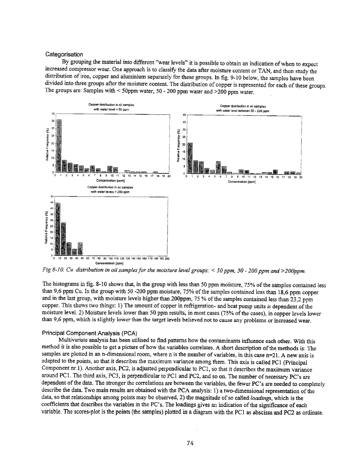### Categorisation

By grouping the material into different "wear levels" it is possible to obtain an indication of when to expect increased compressor wear. One approach is to classify the data after moisture content or TAN, and then study the distribution of iron, copper and aluminium separately for these groups. In fig. 9-10 below, the samples have been divided into three groups after the moisture content. The distribution of copper is represented for each of these groups. The groups are: Samples with  $\leq$  50ppm water, 50 - 200 ppm water and  $\geq$  200 ppm water.



Fig 8-10. Cu distribution in oil samples for the moisture level groups: < 50 ppm, 50 - 200 ppm and >200ppm.

The histograms in fig. 8-10 shows that, in the group with less than 50 ppm moisture, 75% of the samples contained less than 9.6 ppm Cu. In the group with 50 -200 ppm moisture, 75% of the samples contained less than 18,6 ppm copper and in the last group, with moisture levels higher than 200ppm, 75 % of the samples contained less than 23,2 ppm copper. This shows two things: 1) The amount of copper in refrigeration- and heat pump units is dependent of the moisture level. 2) Moisture levels lower than 50 ppm results, in most cases (75% of the cases), in copper levels lower than 9,6 ppm, which is slightly lower than the target levels believed not to cause any problems or increased wear.

#### Principal Component Analysis (PCA)

Multivariate analysis has been utilised to find patterns how the contaminants influence each other. With this method it is also possible to get a picture of how the variables correlates. A short description of the methods is: The samples are plotted in an n-dimensional room, where n is the number of variables, in this case n=21. A new axis is adapted to the points, so that it describes the maximum variance among them. This axis is called PC1 (Principal Component nr.1). Another axis, PC2, is adjusted perpendicular to PC1, so that it describes the maximum variance around PC1. The third axis, PC3, is perpendicular to PC1 and PC2, and so on. The number of necessary PC's are dependent of the data. The stronger the correlations are between the variables, the fewer PC's are needed to completely describe the data. Two main results are obtained with the PCA analysis: 1) a two-dimensional representation of the data, so that relationships among points may be observed, 2) the magnitude of so called loadings, which is the coefficients that describes the variables in the PC's. The loadings gives an indication of the significance of each variable. The scores-plot is the points (the samples) plotted in a diagram with the PC1 as abscissa and PC2 as ordinate.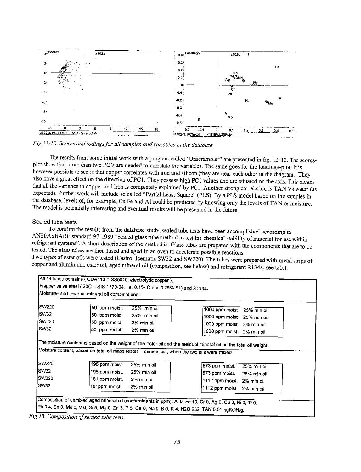

*Fig 11-12\_ Scores and ladings for all samples and variables in the database.* 

The results from some initial work with a program called "Unscrambler" are presented in fig. 12-13. The scoresplot show that more than two PC's are needed to correlate the variables. The same goes for the loadings-plot. It is however possible to see is that copper correlates with iron and silicon (they are near each other in the diagram). They also have a great effect on the direction of PC I. They possess high PC I values and are situated on the axis. This means that all the variance in copper and iron is completely explained by PC!. Another strong correlation is TAN Vs water (as expected). Further work will include so called "Partial Least Square" (PLS). By a PLS model based on the samples in the database, levels of, for example, Cu Fe and AI could be predicted by knowing only the levels of TAN or moisture. The model is potentially interesting and eventual results will be presented in the future.

# Sealed tube tests

To confmn the results from the database study, sealed tube tests have been accomplished according to ANSI/ASHARE standard 97-1989 "Sealed glass tube method to test the chemical stability of material for use within refrigerant systems". A short description of the method is: Glass tubes are prepared with the components that are to be tested. The glass tubes are then fused and aged in an oven to accelerate possible reactions.

Two types of ester oils were tested (Castrol Icematic SW32 and SW220). The tubes were prepared with metal strips of copper and aluminium, ester oil, aged mineral oil (composition, see below) and refrigerant RI34a, see tab. I.

| <b>SW220</b>          | 50 ppm moist.<br>25% min oil                                                                                       |                               |
|-----------------------|--------------------------------------------------------------------------------------------------------------------|-------------------------------|
| SW32                  | 50 ppm moist<br>25% min oil                                                                                        | 1000 ppm moist<br>25% min oil |
| SW220                 | 50 ppm moist<br>2% min oil                                                                                         | 1000 ppm moist<br>25% min oil |
| SW32                  | 50 ppm moist<br>2% min oil                                                                                         | 1000 ppm moist<br>2% min oil  |
|                       |                                                                                                                    | 1000 ppm moist<br>2% min oil  |
|                       | The moisture content is based on the weight of the ester oil and the residual mineral oil on the total oil weight. |                               |
|                       | Moisture content, based on total oil mass (ester + mineral oil), when the two oils were mixed.                     |                               |
| ISW220                | 195 ppm moist.<br>25% min oil                                                                                      | 873 ppm moist.<br>25% min oil |
| SW32                  | 195 ppm moist.<br>25% min oil                                                                                      | 873 ppm moist.<br>25% min oil |
| <b>SW220</b><br>ISW32 | 181 ppm moist.<br>2% min oil<br>181ppm moist.<br>2% min oil                                                        | 1112 ppm moist.<br>2% min oil |

. . *Fig 13. Composztron of sealed tube tests .*